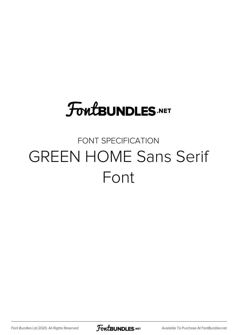# **FoutBUNDLES.NET**

#### FONT SPECIFICATION GREEN HOME Sans Serif Font

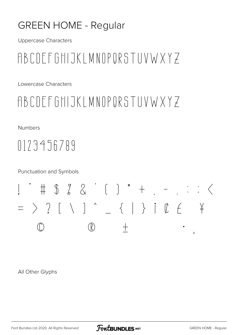#### **GREEN HOME - Regular**

**Uppercase Characters** 

### ABCDEFGHIJKLMNOPORSTUVWXYZ

Lowercase Characters

#### ABCDEFGHIJKLMNOPORSTUVWXYZ

**Numbers** 

## $0173456789$

**Punctuation and Symbols** 



All Other Glyphs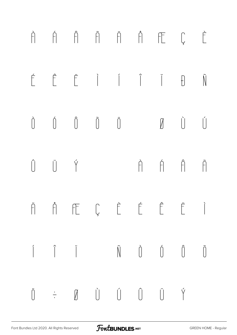